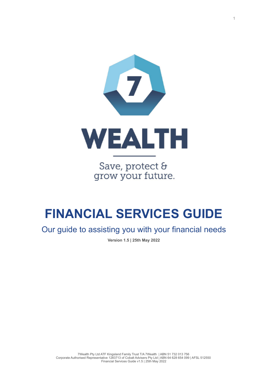

Save, protect & grow your future.

# **FINANCIAL SERVICES GUIDE**

Our guide to assisting you with your financial needs

**Version 1.5 | 25th May 2022**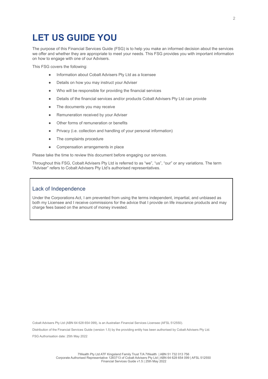### **LET US GUIDE YOU**

The purpose of this Financial Services Guide (FSG) is to help you make an informed decision about the services we offer and whether they are appropriate to meet your needs. This FSG provides you with important information on how to engage with one of our Advisers.

This FSG covers the following:

- Information about Cobalt Advisers Pty Ltd as a licensee
- Details on how you may instruct your Adviser
- Who will be responsible for providing the financial services
- Details of the financial services and/or products Cobalt Advisers Pty Ltd can provide
- The documents you may receive
- Remuneration received by your Adviser
- Other forms of remuneration or benefits
- Privacy (i.e. collection and handling of your personal information)
- The complaints procedure
- Compensation arrangements in place

Please take the time to review this document before engaging our services.

Throughout this FSG, Cobalt Advisers Pty Ltd is referred to as "we", "us", "our" or any variations. The term "Adviser" refers to Cobalt Advisers Pty Ltd's authorised representatives.

#### Lack of Independence

Under the Corporations Act, I am prevented from using the terms independent, impartial, and unbiased as both my Licensee and I receive commissions for the advice that I provide on life insurance products and may charge fees based on the amount of money invested.

Cobalt Advisers Pty Ltd (ABN 64 628 654 099), is an Australian Financial Services Licensee (AFSL 512550).

Distribution of the Financial Services Guide (version 1.5) by the providing entity has been authorised by Cobalt Advisers Pty Ltd. FSG Authorisation date: 25th May 2022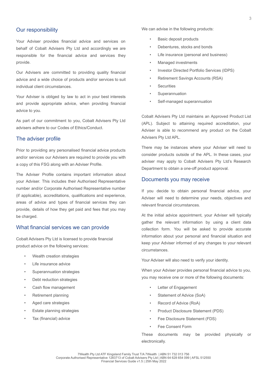#### Our responsibility

Your Adviser provides financial advice and services on behalf of Cobalt Advisers Pty Ltd and accordingly we are responsible for the financial advice and services they provide.

Our Advisers are committed to providing quality financial advice and a wide choice of products and/or services to suit individual client circumstances.

Your Adviser is obliged by law to act in your best interests and provide appropriate advice, when providing financial advice to you.

As part of our commitment to you, Cobalt Advisers Pty Ltd advisers adhere to our Codes of Ethics/Conduct.

#### The adviser profile

Prior to providing any personalised financial advice products and/or services our Advisers are required to provide you with a copy of this FSG along with an Adviser Profile.

The Adviser Profile contains important information about your Adviser. This includes their Authorised Representative number and/or Corporate Authorised Representative number (if applicable), accreditations, qualifications and experience, areas of advice and types of financial services they can provide, details of how they get paid and fees that you may be charged.

#### What financial services we can provide

Cobalt Advisers Pty Ltd is licensed to provide financial product advice on the following services:

- Wealth creation strategies
- Life insurance advice
- Superannuation strategies
- Debt reduction strategies
- Cash flow management
- Retirement planning
- Aged care strategies
- **Estate planning strategies**
- Tax (financial) advice

We can advise in the following products:

- Basic deposit products
- Debentures, stocks and bonds
- Life insurance (personal and business)
- Managed investments
- Investor Directed Portfolio Services (IDPS)
- Retirement Savings Accounts (RSA)
- **Securities**
- **Superannuation**
- Self-managed superannuation

Cobalt Advisers Pty Ltd maintains an Approved Product List (APL). Subject to attaining required accreditation, your Adviser is able to recommend any product on the Cobalt Advisers Pty Ltd APL.

There may be instances where your Adviser will need to consider products outside of the APL. In these cases, your adviser may apply to Cobalt Advisers Pty Ltd's Research Department to obtain a one-off product approval.

#### Documents you may receive

If you decide to obtain personal financial advice, your Adviser will need to determine your needs, objectives and relevant financial circumstances.

At the initial advice appointment, your Adviser will typically gather the relevant information by using a client data collection form. You will be asked to provide accurate information about your personal and financial situation and keep your Adviser informed of any changes to your relevant circumstances.

Your Adviser will also need to verify your identity.

When your Adviser provides personal financial advice to you, you may receive one or more of the following documents:

- Letter of Engagement
- Statement of Advice (SoA)
- Record of Advice (RoA)
- Product Disclosure Statement (PDS)
- Fee Disclosure Statement (FDS)
- Fee Consent Form

These documents may be provided physically or electronically.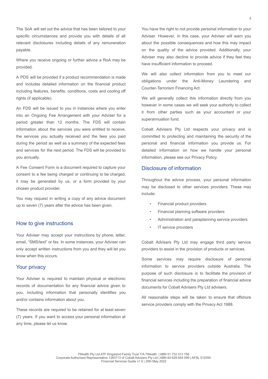The SoA will set out the advice that has been tailored to your specific circumstances and provide you with details of all relevant disclosures including details of any remuneration payable.

Where you receive ongoing or further advice a RoA may be provided.

A PDS will be provided if a product recommendation is made and includes detailed information on the financial product including features, benefits, conditions, costs and cooling off rights (if applicable).

An FDS will be issued to you in instances where you enter into an Ongoing Fee Arrangement with your Adviser for a period greater than 12 months. The FDS will contain information about the services you were entitled to receive, the services you actually received and the fees you paid during the period as well as a summary of the expected fees and services for the next period. The FDS will be provided to you annually.

A Fee Consent Form is a document required to capture your consent to a fee being charged or continuing to be charged, it may be generated by us, or a form provided by your chosen product provider.

You may request in writing a copy of any advice document up to seven (7) years after the advice has been given.

#### How to give instructions

Your Adviser may accept your instructions by phone, letter, email, "SMS/text" or fax. In some instances, your Adviser can only accept written instructions from you and they will let you know when this occurs.

#### Your privacy

Your Adviser is required to maintain physical or electronic records of documentation for any financial advice given to you, including information that personally identifies you and/or contains information about you.

These records are required to be retained for at least seven (7) years. If you want to access your personal information at any time, please let us know.

You have the right to not provide personal information to your Adviser. However, in this case, your Adviser will warn you about the possible consequences and how this may impact on the quality of the advice provided. Additionally, your Adviser may also decline to provide advice if they feel they have insufficient information to proceed.

We will also collect information from you to meet our obligations under the Anti-Money Laundering and Counter-Terrorism Financing Act.

We will generally collect this information directly from you however in some cases we will seek your authority to collect it from other parties such as your accountant or your superannuation fund.

Cobalt Advisers Pty Ltd respects your privacy and is committed to protecting and maintaining the security of the personal and financial information you provide us. For detailed information on how we handle your personal information, please see our Privacy Policy.

#### Disclosure of information

Throughout the advice process, your personal information may be disclosed to other services providers. These may include:

- Financial product providers
- Financial planning software providers
- Administration and paraplanning service providers
- IT service providers

Cobalt Advisers Pty Ltd may engage third party service providers to assist in the provision of products or services.

Some services may require disclosure of personal information to service providers outside Australia. The purpose of such disclosure is to facilitate the provision of financial services including the preparation of financial advice documents for Cobalt Advisers Pty Ltd advisers.

All reasonable steps will be taken to ensure that offshore service providers comply with the Privacy Act 1988.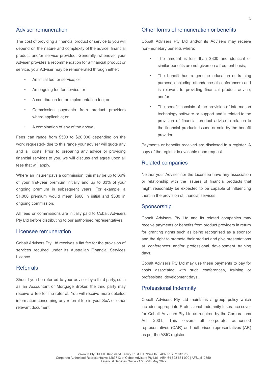#### Adviser remuneration

The cost of providing a financial product or service to you will depend on the nature and complexity of the advice, financial product and/or service provided. Generally, whenever your Adviser provides a recommendation for a financial product or service, your Adviser may be remunerated through either:

- An initial fee for service; or
- An ongoing fee for service; or
- A contribution fee or implementation fee; or
- Commission payments from product providers where applicable; or
- A combination of any of the above.

Fees can range from \$500 to \$20,000 depending on the work requested- due to this range your adviser will quote any and all costs. Prior to preparing any advice or providing financial services to you, we will discuss and agree upon all fees that will apply.

Where an insurer pays a commission, this may be up to 66% of your first-year premium initially and up to 33% of your ongoing premium in subsequent years. For example, a \$1,000 premium would mean \$660 in initial and \$330 in ongoing commission.

All fees or commissions are initially paid to Cobalt Advisers Pty Ltd before distributing to our authorised representatives.

#### Licensee remuneration

Cobalt Advisers Pty Ltd receives a flat fee for the provision of services required under its Australian Financial Services Licence.

#### Referrals

Should you be referred to your adviser by a third party, such as an Accountant or Mortgage Broker, the third party may receive a fee for the referral. You will receive more detailed information concerning any referral fee in your SoA or other relevant document.

#### Other forms of remuneration or benefits

Cobalt Advisers Pty Ltd and/or its Advisers may receive non-monetary benefits where:

- The amount is less than \$300 and identical or similar benefits are not given on a frequent basis;
- The benefit has a genuine education or training purpose (including attendance at conferences) and is relevant to providing financial product advice; and/or
- The benefit consists of the provision of information technology software or support and is related to the provision of financial product advice in relation to the financial products issued or sold by the benefit provider

Payments or benefits received are disclosed in a register. A copy of the register is available upon request.

#### Related companies

Neither your Adviser nor the Licensee have any association or relationship with the issuers of financial products that might reasonably be expected to be capable of influencing them in the provision of financial services.

#### Sponsorship

Cobalt Advisers Pty Ltd and its related companies may receive payments or benefits from product providers in return for granting rights such as being recognised as a sponsor and the right to promote their product and give presentations at conferences and/or professional development training days.

Cobalt Advisers Pty Ltd may use these payments to pay for costs associated with such conferences, training or professional development days.

#### Professional Indemnity

Cobalt Advisers Pty Ltd maintains a group policy which includes appropriate Professional Indemnity Insurance cover for Cobalt Advisers Pty Ltd as required by the Corporations Act 2001. This covers all corporate authorised representatives (CAR) and authorised representatives (AR) as per the ASIC register.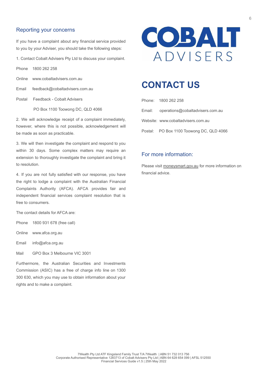#### Reporting your concerns

If you have a complaint about any financial service provided to you by your Adviser, you should take the following steps:

1. Contact Cobalt Advisers Pty Ltd to discuss your complaint.

Phone 1800 262 258

Online www.cobaltadvisers.com.au

Email feedback@cobaltadvisers.com.au

Postal Feedback - Cobalt Advisers

PO Box 1100 Toowong DC, QLD 4066

2. We will acknowledge receipt of a complaint immediately, however, where this is not possible, acknowledgement will be made as soon as practicable.

3. We will then investigate the complaint and respond to you within 30 days. Some complex matters may require an extension to thoroughly investigate the complaint and bring it to resolution.

4. If you are not fully satisfied with our response, you have the right to lodge a complaint with the Australian Financial Complaints Authority (AFCA). AFCA provides fair and independent financial services complaint resolution that is free to consumers.

The contact details for AFCA are:

Phone 1800 931 678 (free call)

Online www.afca.org.au

Email info@afca.org.au

Mail GPO Box 3 Melbourne VIC 3001

Furthermore, the Australian Securities and Investments Commission (ASIC) has a free of charge info line on 1300 300 630, which you may use to obtain information about your rights and to make a complaint.



### **CONTACT US**

| Phone: 1800 262 258                      |
|------------------------------------------|
| Email: operations@cobaltadvisers.com.au  |
| Website: www.cobaltadvisers.com.au       |
| Postal: PO Box 1100 Toowong DC, QLD 4066 |

#### For more information:

Please visit moneysmart.gov.au for more information on financial advice.